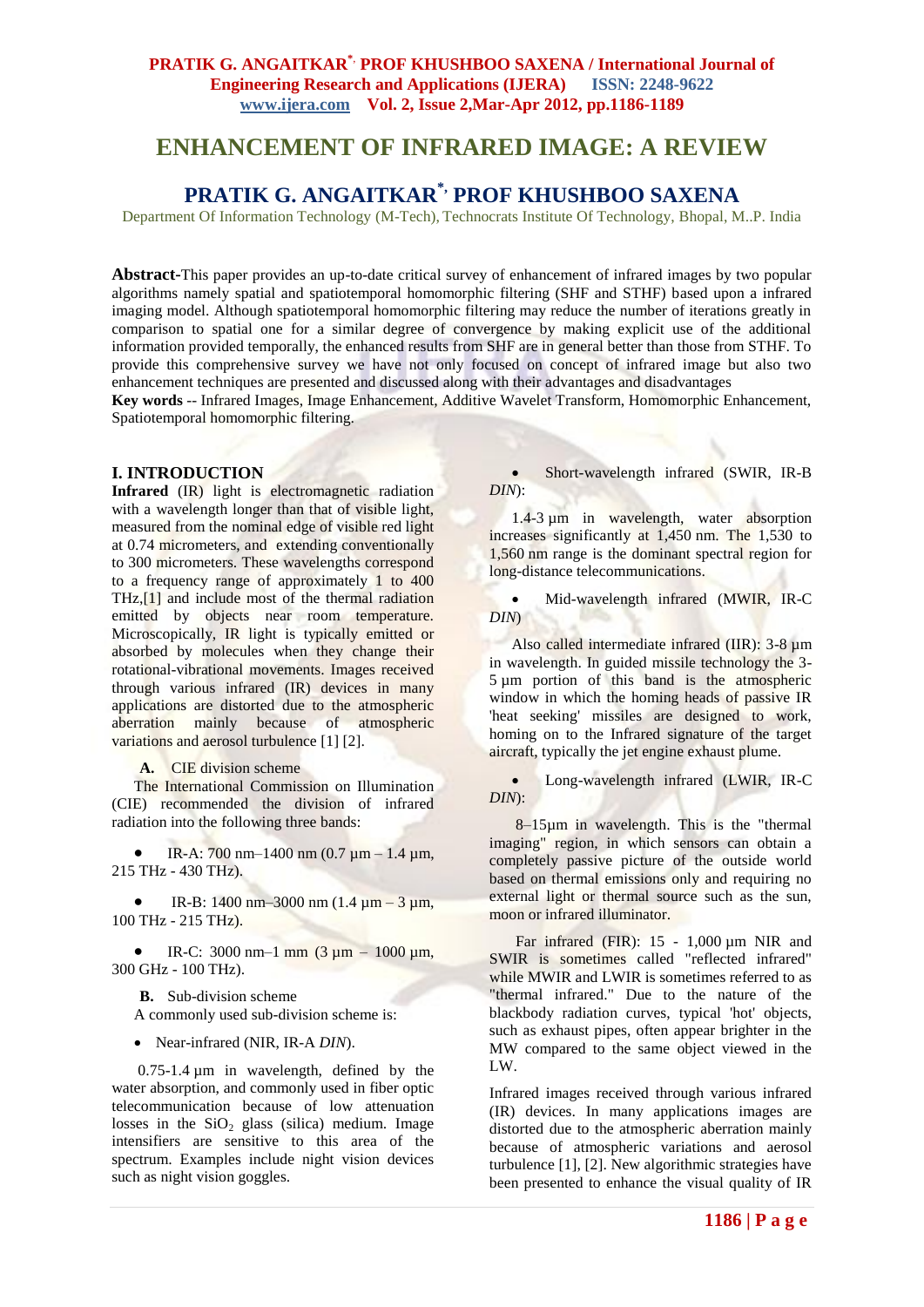# **ENHANCEMENT OF INFRARED IMAGE: A REVIEW**

## **PRATIK G. ANGAITKAR\*, PROF KHUSHBOO SAXENA**

Department Of Information Technology (M-Tech), Technocrats Institute Of Technology, Bhopal, M..P. India

**Abstract-**This paper provides an up-to-date critical survey of enhancement of infrared images by two popular algorithms namely spatial and spatiotemporal homomorphic filtering (SHF and STHF) based upon a infrared imaging model. Although spatiotemporal homomorphic filtering may reduce the number of iterations greatly in comparison to spatial one for a similar degree of convergence by making explicit use of the additional information provided temporally, the enhanced results from SHF are in general better than those from STHF. To provide this comprehensive survey we have not only focused on concept of infrared image but also two enhancement techniques are presented and discussed along with their advantages and disadvantages

**Key words** *-*- Infrared Images, Image Enhancement, Additive Wavelet Transform, Homomorphic Enhancement, Spatiotemporal homomorphic filtering.

#### **I. INTRODUCTION**

**Infrared** (IR) light is electromagnetic radiation with a wavelength longer than that of visible light, measured from the nominal edge of visible red light at 0.74 micrometers, and extending conventionally to 300 micrometers. These wavelengths correspond to a frequency range of approximately 1 to 400 THz[,\[1\]](file:///C:\Documents%20and%20Settings\Amy\Desktop\My%20Final%20Topic\Infrared.htm%23cite_note-0) and include most of the thermal radiation emitted by objects near room temperature. Microscopically, IR light is typically emitted or absorbed by molecules when they change their rotational-vibrational movements. Images received through various infrared (IR) devices in many applications are distorted due to the atmospheric aberration mainly because of atmospheric variations and aerosol turbulence [1] [2].

**A.** CIE division scheme

The International Commission on Illumination (CIE) recommended the division of infrared radiation into the following three bands:

 IR-A: 700 nm–1400 nm (0.7 µm – 1.4 µm, 215 THz - 430 THz).

IR-B: 1400 nm–3000 nm  $(1.4 \mu m - 3 \mu m,$ 100 THz - 215 THz).

 $\bullet$  IR-C: 3000 nm–1 mm (3 µm – 1000 µm, 300 GHz - 100 THz).

**B.** Sub-division scheme A commonly used sub-division scheme is:

Near-infrared (NIR, IR-A *DIN*).

0.75-1.4 µm in wavelength, defined by the water absorption, and commonly used in fiber optic telecommunication because of low attenuation losses in the  $SiO<sub>2</sub>$  glass (silica) medium. Image intensifiers are sensitive to this area of the spectrum. Examples include night vision devices such as night vision goggles.

• Short-wavelength infrared (SWIR, IR-B) *DIN*):

1.4-3 µm in wavelength, water absorption increases significantly at 1,450 nm. The 1,530 to 1,560 nm range is the dominant spectral region for long-distance telecommunications.

 Mid-wavelength infrared (MWIR, IR-C *DIN*)

Also called intermediate infrared (IIR): 3-8 µm in wavelength. In guided missile technology the 3- 5 µm portion of this band is the atmospheric window in which the homing heads of passive IR 'heat seeking' missiles are designed to work, homing on to the Infrared signature of the target aircraft, typically the jet engine exhaust plume.

 Long-wavelength infrared (LWIR, IR-C *DIN*):

8–15µm in wavelength. This is the "thermal imaging" region, in which sensors can obtain a completely passive picture of the outside world based on thermal emissions only and requiring no external light or thermal source such as the sun, moon or infrared illuminator.

Far infrared (FIR): 15 - 1,000 µm NIR and SWIR is sometimes called "reflected infrared" while MWIR and LWIR is sometimes referred to as "thermal infrared." Due to the nature of the blackbody radiation curves, typical 'hot' objects, such as exhaust pipes, often appear brighter in the MW compared to the same object viewed in the LW.

Infrared images received through various infrared (IR) devices. In many applications images are distorted due to the atmospheric aberration mainly because of atmospheric variations and aerosol turbulence [1], [2]. New algorithmic strategies have been presented to enhance the visual quality of IR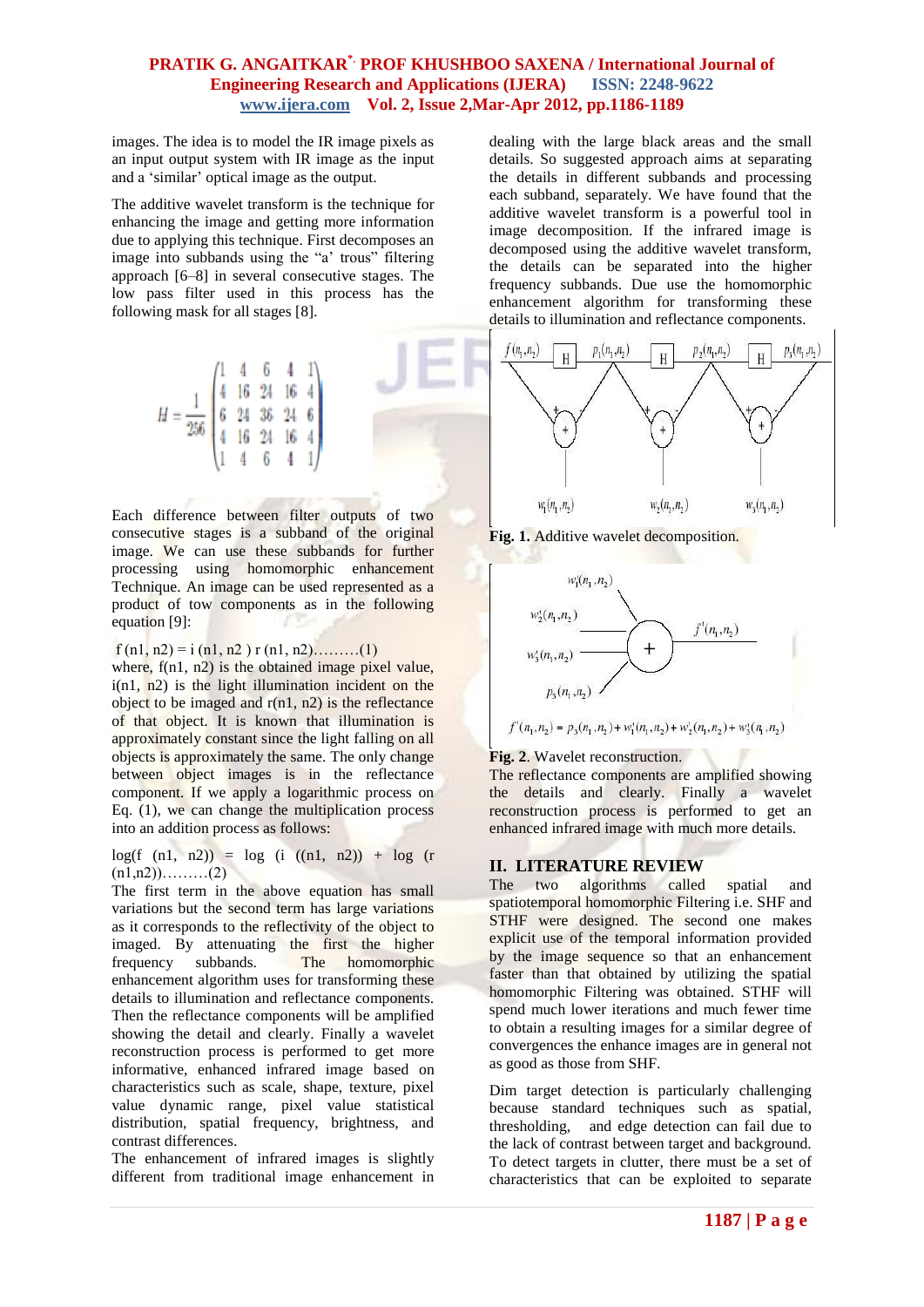images. The idea is to model the IR image pixels as an input output system with IR image as the input and a "similar" optical image as the output.

The additive wavelet transform is the technique for enhancing the image and getting more information due to applying this technique. First decomposes an image into subbands using the "a' trous" filtering approach [6–8] in several consecutive stages. The low pass filter used in this process has the following mask for all stages [8].

$$
H = \frac{1}{256} \begin{pmatrix} 1 & 4 & 6 & 4 & 1 \\ 4 & 16 & 24 & 16 & 4 \\ 6 & 24 & 36 & 24 & 6 \\ 4 & 16 & 24 & 16 & 4 \\ 1 & 4 & 6 & 4 & 1 \end{pmatrix}
$$

Each difference between filter outputs of two consecutive stages is a subband of the original image. We can use these subbands for further processing using homomorphic enhancement Technique. An image can be used represented as a product of tow components as in the following equation [9]:

f (n1, n2) = i (n1, n2) r (n1, n2),.........(1)

where,  $f(n1, n2)$  is the obtained image pixel value, i(n1, n2) is the light illumination incident on the object to be imaged and  $r(n1, n2)$  is the reflectance of that object. It is known that illumination is approximately constant since the light falling on all objects is approximately the same. The only change between object images is in the reflectance component. If we apply a logarithmic process on Eq. (1), we can change the multiplication process into an addition process as follows:

 $log(f (n1, n2)) = log (i ((n1, n2)) + log (r$  $(n1,n2))$ ………(2)

The first term in the above equation has small variations but the second term has large variations as it corresponds to the reflectivity of the object to imaged. By attenuating the first the higher frequency subbands. The homomorphic enhancement algorithm uses for transforming these details to illumination and reflectance components. Then the reflectance components will be amplified showing the detail and clearly. Finally a wavelet reconstruction process is performed to get more informative, enhanced infrared image based on characteristics such as scale, shape, texture, pixel value dynamic range, pixel value statistical distribution, spatial frequency, brightness, and contrast differences.

The enhancement of infrared images is slightly different from traditional image enhancement in

dealing with the large black areas and the small details. So suggested approach aims at separating the details in different subbands and processing each subband, separately. We have found that the additive wavelet transform is a powerful tool in image decomposition. If the infrared image is decomposed using the additive wavelet transform, the details can be separated into the higher frequency subbands. Due use the homomorphic enhancement algorithm for transforming these details to illumination and reflectance components.







**Fig. 2**. Wavelet reconstruction.

The reflectance components are amplified showing the details and clearly. Finally a wavelet reconstruction process is performed to get an enhanced infrared image with much more details.

## **II. LITERATURE REVIEW**

The two algorithms called spatial and spatiotemporal homomorphic Filtering i.e. SHF and STHF were designed. The second one makes explicit use of the temporal information provided by the image sequence so that an enhancement faster than that obtained by utilizing the spatial homomorphic Filtering was obtained. STHF will spend much lower iterations and much fewer time to obtain a resulting images for a similar degree of convergences the enhance images are in general not as good as those from SHF.

Dim target detection is particularly challenging because standard techniques such as spatial, thresholding, and edge detection can fail due to the lack of contrast between target and background. To detect targets in clutter, there must be a set of characteristics that can be exploited to separate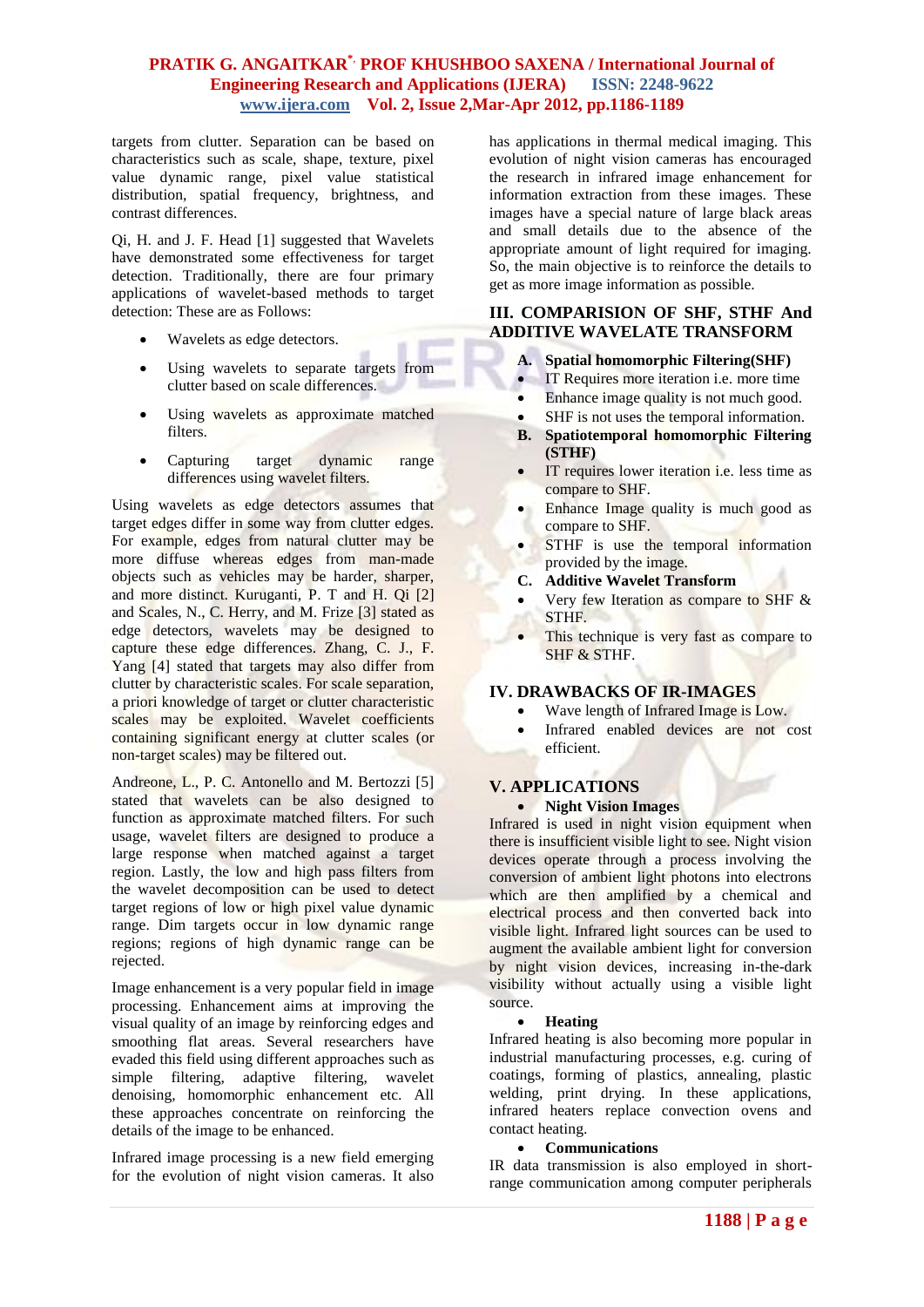targets from clutter. Separation can be based on characteristics such as scale, shape, texture, pixel value dynamic range, pixel value statistical distribution, spatial frequency, brightness, and contrast differences.

Qi, H. and J. F. Head [1] suggested that Wavelets have demonstrated some effectiveness for target detection. Traditionally, there are four primary applications of wavelet-based methods to target detection: These are as Follows:

- Wavelets as edge detectors.
- Using wavelets to separate targets from clutter based on scale differences.
- Using wavelets as approximate matched filters.
- Capturing target dynamic range differences using wavelet filters.

Using wavelets as edge detectors assumes that target edges differ in some way from clutter edges. For example, edges from natural clutter may be more diffuse whereas edges from man-made objects such as vehicles may be harder, sharper, and more distinct. Kuruganti, P. T and H. Qi [2] and Scales, N., C. Herry, and M. Frize [3] stated as edge detectors, wavelets may be designed to capture these edge differences. Zhang, C. J., F. Yang [4] stated that targets may also differ from clutter by characteristic scales. For scale separation, a priori knowledge of target or clutter characteristic scales may be exploited. Wavelet coefficients containing significant energy at clutter scales (or non-target scales) may be filtered out.

Andreone, L., P. C. Antonello and M. Bertozzi [5] stated that wavelets can be also designed to function as approximate matched filters. For such usage, wavelet filters are designed to produce a large response when matched against a target region. Lastly, the low and high pass filters from the wavelet decomposition can be used to detect target regions of low or high pixel value dynamic range. Dim targets occur in low dynamic range regions; regions of high dynamic range can be rejected.

Image enhancement is a very popular field in image processing. Enhancement aims at improving the visual quality of an image by reinforcing edges and smoothing flat areas. Several researchers have evaded this field using different approaches such as simple filtering, adaptive filtering, wavelet denoising, homomorphic enhancement etc. All these approaches concentrate on reinforcing the details of the image to be enhanced.

Infrared image processing is a new field emerging for the evolution of night vision cameras. It also

has applications in thermal medical imaging. This evolution of night vision cameras has encouraged the research in infrared image enhancement for information extraction from these images. These images have a special nature of large black areas and small details due to the absence of the appropriate amount of light required for imaging. So, the main objective is to reinforce the details to get as more image information as possible.

#### **III. COMPARISION OF SHF, STHF And ADDITIVE WAVELATE TRANSFORM**

#### **A. Spatial homomorphic Filtering(SHF)**

- **IT Requires more iteration i.e. more time**
- Enhance image quality is not much good.
- SHF is not uses the temporal information.
- **B. Spatiotemporal homomorphic Filtering (STHF)**
- **IT** requires lower iteration i.e. less time as compare to SHF.
- Enhance Image quality is much good as compare to SHF.
- STHF is use the temporal information provided by the image.
- **C. Additive Wavelet Transform**
- Very few Iteration as compare to SHF & STHF.
- This technique is very fast as compare to SHF & STHF.

## **IV. DRAWBACKS OF IR-IMAGES**

- Wave length of Infrared Image is Low.
- Infrared enabled devices are not cost efficient.

## **V. APPLICATIONS**

#### **Night Vision Images**

Infrared is used in night vision equipment when there is insufficient visible light to see. Night vision devices operate through a process involving the conversion of ambient light photons into electrons which are then amplified by a chemical and electrical process and then converted back into visible light. Infrared light sources can be used to augment the available ambient light for conversion by night vision devices, increasing in-the-dark visibility without actually using a visible light source.

#### **Heating**

Infrared heating is also becoming more popular in industrial manufacturing processes, e.g. curing of coatings, forming of plastics, annealing, plastic welding, print drying. In these applications, infrared heaters replace convection ovens and contact heating.

#### **Communications**

IR data transmission is also employed in shortrange communication among computer peripherals